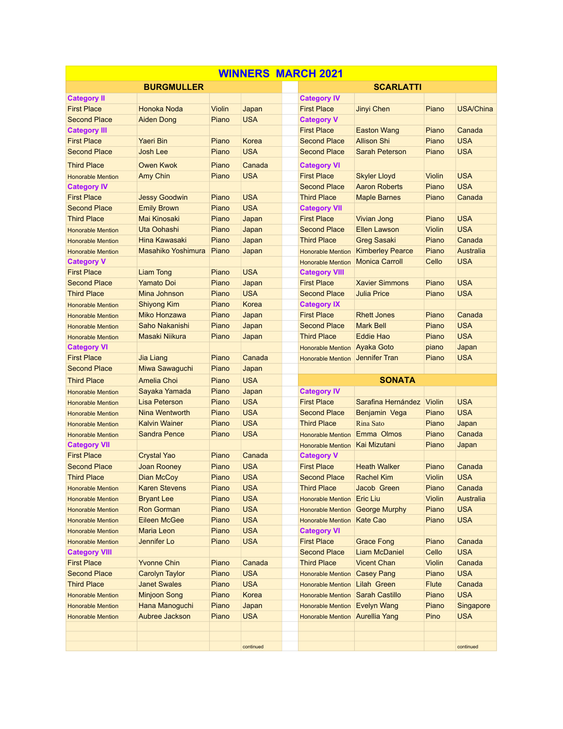|                          |                      |        | <b>WINNERS MARCH 2021</b> |  |                                 |                         |               |                  |
|--------------------------|----------------------|--------|---------------------------|--|---------------------------------|-------------------------|---------------|------------------|
| <b>BURGMULLER</b>        |                      |        |                           |  | <b>SCARLATTI</b>                |                         |               |                  |
| <b>Category II</b>       |                      |        |                           |  | <b>Category IV</b>              |                         |               |                  |
| <b>First Place</b>       | Honoka Noda          | Violin | Japan                     |  | <b>First Place</b>              | Jinyi Chen              | Piano         | <b>USA/China</b> |
| <b>Second Place</b>      | <b>Aiden Dong</b>    | Piano  | <b>USA</b>                |  | <b>Category V</b>               |                         |               |                  |
| <b>Category III</b>      |                      |        |                           |  | <b>First Place</b>              | <b>Easton Wang</b>      | Piano         | Canada           |
| <b>First Place</b>       | <b>Yaeri Bin</b>     | Piano  | Korea                     |  | <b>Second Place</b>             | <b>Allison Shi</b>      | Piano         | <b>USA</b>       |
| <b>Second Place</b>      | <b>Josh Lee</b>      | Piano  | <b>USA</b>                |  | <b>Second Place</b>             | <b>Sarah Peterson</b>   | Piano         | <b>USA</b>       |
| <b>Third Place</b>       | Owen Kwok            | Piano  | Canada                    |  | <b>Category VI</b>              |                         |               |                  |
| <b>Honorable Mention</b> | Amy Chin             | Piano  | <b>USA</b>                |  | <b>First Place</b>              | <b>Skyler Lloyd</b>     | Violin        | <b>USA</b>       |
| <b>Category IV</b>       |                      |        |                           |  | <b>Second Place</b>             | <b>Aaron Roberts</b>    | Piano         | <b>USA</b>       |
| <b>First Place</b>       | <b>Jessy Goodwin</b> | Piano  | <b>USA</b>                |  | <b>Third Place</b>              | <b>Maple Barnes</b>     | Piano         | Canada           |
| <b>Second Place</b>      | <b>Emily Brown</b>   | Piano  | <b>USA</b>                |  | <b>Category VII</b>             |                         |               |                  |
| <b>Third Place</b>       | <b>Mai Kinosaki</b>  | Piano  | Japan                     |  | <b>First Place</b>              | Vivian Jong             | Piano         | <b>USA</b>       |
| <b>Honorable Mention</b> | Uta Oohashi          | Piano  | Japan                     |  | <b>Second Place</b>             | <b>Ellen Lawson</b>     | <b>Violin</b> | <b>USA</b>       |
| <b>Honorable Mention</b> | Hina Kawasaki        | Piano  | Japan                     |  | <b>Third Place</b>              | <b>Greg Sasaki</b>      | Piano         | Canada           |
| <b>Honorable Mention</b> | Masahiko Yoshimura   | Piano  | Japan                     |  | <b>Honorable Mention</b>        | <b>Kimberley Pearce</b> | Piano         | Australia        |
| <b>Category V</b>        |                      |        |                           |  | <b>Honorable Mention</b>        | <b>Monica Carroll</b>   | Cello         | <b>USA</b>       |
| <b>First Place</b>       | <b>Liam Tong</b>     | Piano  | <b>USA</b>                |  | <b>Category VIII</b>            |                         |               |                  |
| <b>Second Place</b>      | <b>Yamato Doi</b>    | Piano  | Japan                     |  | <b>First Place</b>              | <b>Xavier Simmons</b>   | Piano         | <b>USA</b>       |
| <b>Third Place</b>       | Mina Johnson         | Piano  | <b>USA</b>                |  | <b>Second Place</b>             | <b>Julia Price</b>      | Piano         | <b>USA</b>       |
| <b>Honorable Mention</b> | <b>Shiyong Kim</b>   | Piano  | Korea                     |  | <b>Category IX</b>              |                         |               |                  |
| <b>Honorable Mention</b> | Miko Honzawa         | Piano  | Japan                     |  | <b>First Place</b>              | <b>Rhett Jones</b>      | Piano         | Canada           |
| <b>Honorable Mention</b> | Saho Nakanishi       | Piano  | Japan                     |  | <b>Second Place</b>             | <b>Mark Bell</b>        | Piano         | <b>USA</b>       |
| <b>Honorable Mention</b> | Masaki Niikura       | Piano  | Japan                     |  | <b>Third Place</b>              | Eddie Hao               | Piano         | <b>USA</b>       |
| <b>Category VI</b>       |                      |        |                           |  | <b>Honorable Mention</b>        | Ayaka Goto              | piano         | Japan            |
| <b>First Place</b>       | <b>Jia Liang</b>     | Piano  | Canada                    |  | <b>Honorable Mention</b>        | Jennifer Tran           | Piano         | <b>USA</b>       |
| <b>Second Place</b>      | Miwa Sawaguchi       | Piano  | Japan                     |  |                                 |                         |               |                  |
| <b>Third Place</b>       | Amelia Choi          | Piano  | <b>USA</b>                |  |                                 | <b>SONATA</b>           |               |                  |
| <b>Honorable Mention</b> | Sayaka Yamada        | Piano  | Japan                     |  | <b>Category IV</b>              |                         |               |                  |
| <b>Honorable Mention</b> | Lisa Peterson        | Piano  | <b>USA</b>                |  | <b>First Place</b>              | Sarafina Hernández      | <b>Violin</b> | <b>USA</b>       |
| <b>Honorable Mention</b> | Nina Wentworth       | Piano  | <b>USA</b>                |  | <b>Second Place</b>             | Benjamin Vega           | Piano         | <b>USA</b>       |
| <b>Honorable Mention</b> | <b>Kalvin Wainer</b> | Piano  | <b>USA</b>                |  | <b>Third Place</b>              | <b>Rina Sato</b>        | Piano         | Japan            |
| <b>Honorable Mention</b> | <b>Sandra Pence</b>  | Piano  | <b>USA</b>                |  | <b>Honorable Mention</b>        | Emma Olmos              | Piano         | Canada           |
| <b>Category VII</b>      |                      |        |                           |  | <b>Honorable Mention</b>        | <b>Kai Mizutani</b>     | Piano         | Japan            |
| <b>First Place</b>       | <b>Crystal Yao</b>   | Piano  | Canada                    |  | <b>Category V</b>               |                         |               |                  |
| <b>Second Place</b>      | <b>Joan Rooney</b>   | Piano  | <b>USA</b>                |  | <b>First Place</b>              | <b>Heath Walker</b>     | Piano         | Canada           |
| <b>Third Place</b>       | Dian McCoy           | Piano  | <b>USA</b>                |  | <b>Second Place</b>             | <b>Rachel Kim</b>       | Violin        | <b>USA</b>       |
| <b>Honorable Mention</b> | <b>Karen Stevens</b> | Piano  | <b>USA</b>                |  | <b>Third Place</b>              | Jacob Green             | Piano         | Canada           |
| <b>Honorable Mention</b> | <b>Bryant Lee</b>    | Piano  | <b>USA</b>                |  | Honorable Mention               | <b>Eric Liu</b>         | <b>Violin</b> | Australia        |
| <b>Honorable Mention</b> | <b>Ron Gorman</b>    | Piano  | <b>USA</b>                |  | Honorable Mention George Murphy |                         | Piano         | <b>USA</b>       |
| <b>Honorable Mention</b> | <b>Eileen McGee</b>  | Piano  | <b>USA</b>                |  | Honorable Mention Kate Cao      |                         | Piano         | <b>USA</b>       |
| <b>Honorable Mention</b> | <b>Maria Leon</b>    | Piano  | <b>USA</b>                |  | <b>Category VI</b>              |                         |               |                  |
| <b>Honorable Mention</b> | Jennifer Lo          | Piano  | <b>USA</b>                |  | <b>First Place</b>              | <b>Grace Fong</b>       | Piano         | Canada           |
| <b>Category VIII</b>     |                      |        |                           |  | <b>Second Place</b>             | Liam McDaniel           | Cello         | <b>USA</b>       |
| <b>First Place</b>       | <b>Yvonne Chin</b>   | Piano  | Canada                    |  | <b>Third Place</b>              | <b>Vicent Chan</b>      | Violin        | Canada           |
| <b>Second Place</b>      | Carolyn Taylor       | Piano  | <b>USA</b>                |  | <b>Honorable Mention</b>        | <b>Casey Pang</b>       | Piano         | <b>USA</b>       |
| <b>Third Place</b>       | <b>Janet Swales</b>  | Piano  | <b>USA</b>                |  | Honorable Mention Lilah Green   |                         | <b>Flute</b>  | Canada           |
| <b>Honorable Mention</b> | <b>Minjoon Song</b>  | Piano  | Korea                     |  | <b>Honorable Mention</b>        | <b>Sarah Castillo</b>   | Piano         | <b>USA</b>       |
| <b>Honorable Mention</b> | Hana Manoguchi       | Piano  | Japan                     |  | <b>Honorable Mention</b>        | <b>Evelyn Wang</b>      | Piano         | Singapore        |
| <b>Honorable Mention</b> | Aubree Jackson       | Piano  | <b>USA</b>                |  | Honorable Mention Aurellia Yang |                         | Pino          | <b>USA</b>       |
|                          |                      |        |                           |  |                                 |                         |               |                  |
|                          |                      |        |                           |  |                                 |                         |               |                  |
|                          |                      |        | continued                 |  |                                 |                         |               | continued        |